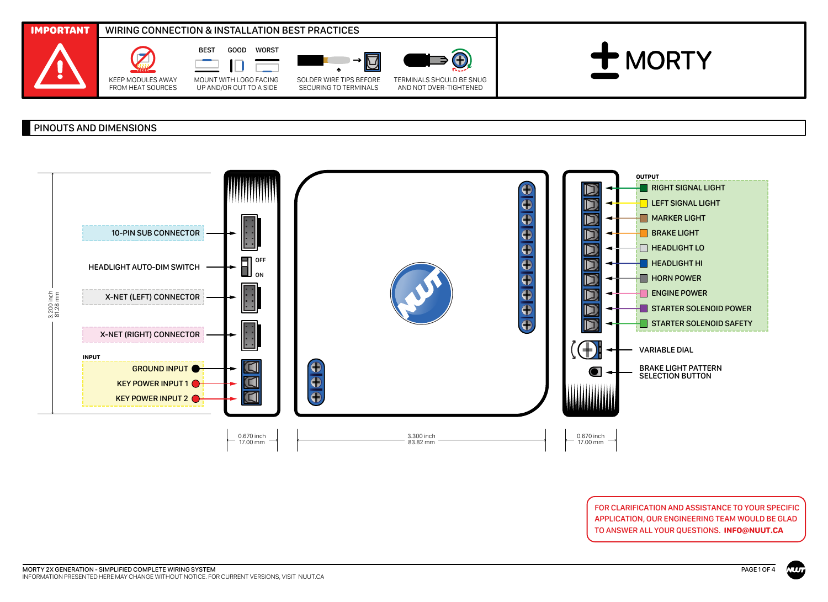

## PINOUTS AND DIMENSIONS



FOR CLARIFICATION AND ASSISTANCE TO YOUR SPECIFIC APPLICATION, OUR ENGINEERING TEAM WOULD BE GLAD TO ANSWER ALL YOUR QUESTIONS. **INFO@NUUT.CA**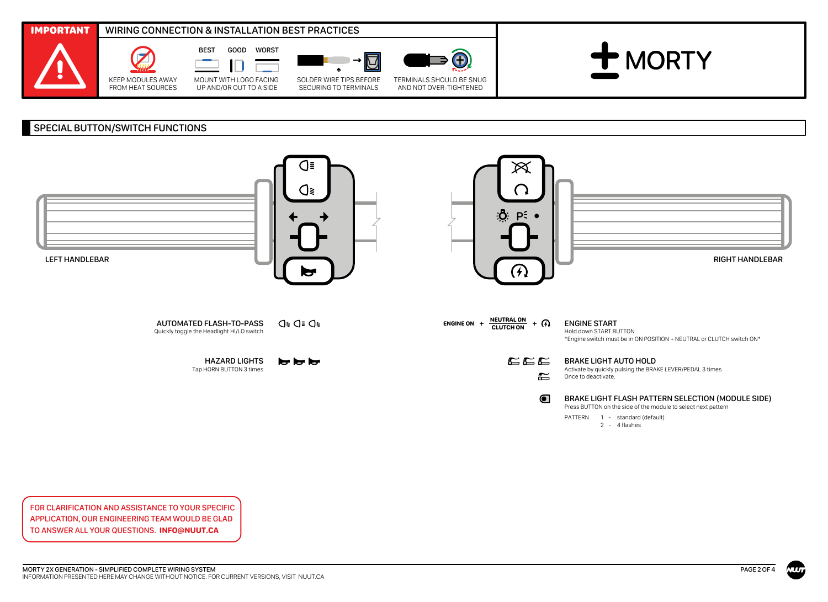

## SPECIAL BUTTON/SWITCH FUNCTIONS



2 - 4 flashes

FOR CLARIFICATION AND ASSISTANCE TO YOUR SPECIFIC APPLICATION, OUR ENGINEERING TEAM WOULD BE GLAD TO ANSWER ALL YOUR QUESTIONS. **INFO@NUUT.CA**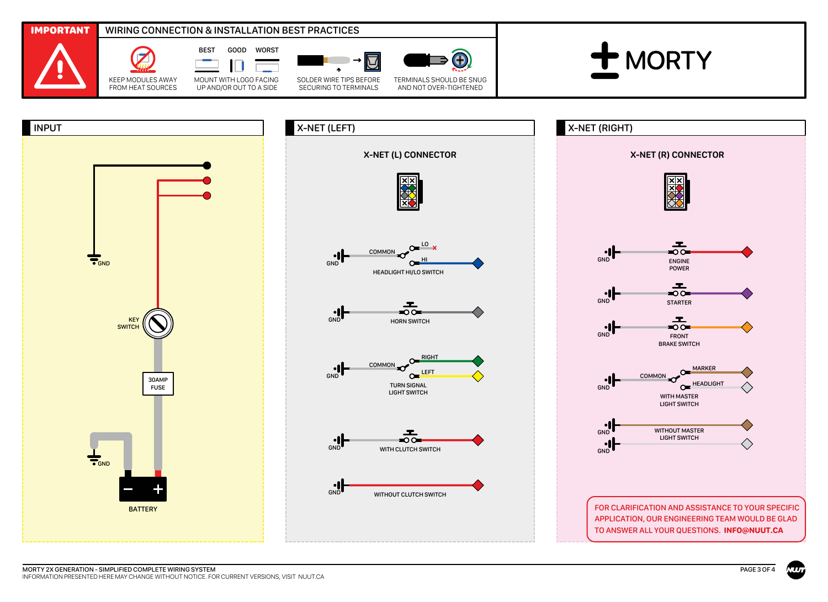